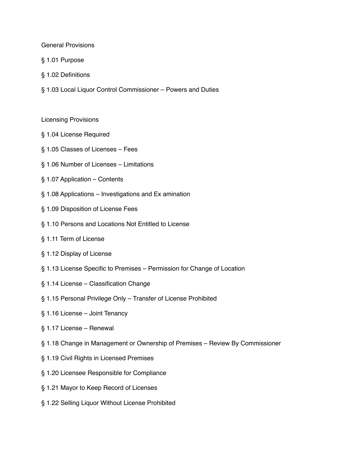#### General Provisions

- § 1.01 Purpose
- § 1.02 Definitions
- § 1.03 Local Liquor Control Commissioner Powers and Duties
- Licensing Provisions
- § 1.04 License Required
- § 1.05 Classes of Licenses Fees
- § 1.06 Number of Licenses Limitations
- § 1.07 Application Contents
- § 1.08 Applications Investigations and Ex amination
- § 1.09 Disposition of License Fees
- § 1.10 Persons and Locations Not Entitled to License
- § 1.11 Term of License
- § 1.12 Display of License
- § 1.13 License Specific to Premises Permission for Change of Location
- § 1.14 License Classification Change
- § 1.15 Personal Privilege Only Transfer of License Prohibited
- § 1.16 License Joint Tenancy
- § 1.17 License Renewal
- § 1.18 Change in Management or Ownership of Premises Review By Commissioner
- § 1.19 Civil Rights in Licensed Premises
- § 1.20 Licensee Responsible for Compliance
- § 1.21 Mayor to Keep Record of Licenses
- § 1.22 Selling Liquor Without License Prohibited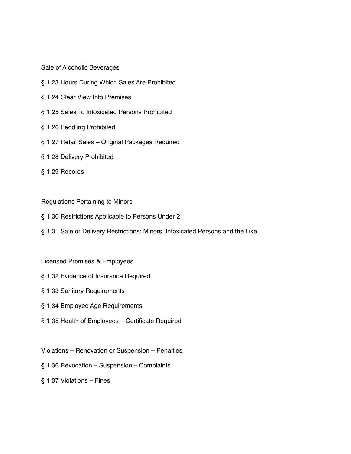Sale of Alcoholic Beverages

- § 1.23 Hours During Which Sales Are Prohibited
- § 1.24 Clear View Into Premises
- § 1.25 Sales To Intoxicated Persons Prohibited
- § 1.26 Peddling Prohibited
- § 1.27 Retail Sales Original Packages Required
- § 1.28 Delivery Prohibited
- § 1.29 Records

#### Regulations Pertaining to Minors

- § 1.30 Restrictions Applicable to Persons Under 21
- § 1.31 Sale or Delivery Restrictions; Minors, Intoxicated Persons and the Like

## Licensed Premises & Employees

- § 1.32 Evidence of Insurance Required
- § 1.33 Sanitary Requirements
- § 1.34 Employee Age Requirements
- § 1.35 Health of Employees Certificate Required
- Violations Renovation or Suspension Penalties
- § 1.36 Revocation Suspension Complaints
- § 1.37 Violations Fines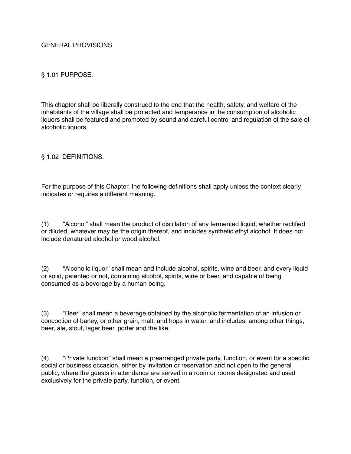### GENERAL PROVISIONS

### § 1.01 PURPOSE.

This chapter shall be liberally construed to the end that the health, safety, and welfare of the inhabitants of the village shall be protected and temperance in the consumption of alcoholic liquors shall be featured and promoted by sound and careful control and regulation of the sale of alcoholic liquors.

§ 1.02 DEFINITIONS.

For the purpose of this Chapter, the following definitions shall apply unless the context clearly indicates or requires a different meaning.

(1) "Alcohol" shall mean the product of distillation of any fermented liquid, whether rectified or diluted, whatever may be the origin thereof, and includes synthetic ethyl alcohol. It does not include denatured alcohol or wood alcohol.

(2) "Alcoholic liquor" shall mean and include alcohol, spirits, wine and beer, and every liquid or solid, patented or not, containing alcohol, spirits, wine or beer, and capable of being consumed as a beverage by a human being.

(3) "Beer" shall mean a beverage obtained by the alcoholic fermentation of an infusion or concoction of barley, or other grain, malt, and hops in water, and includes, among other things, beer, ale, stout, lager beer, porter and the like.

(4) "Private function" shall mean a prearranged private party, function, or event for a specific social or business occasion, either by invitation or reservation and not open to the general public, where the guests in attendance are served in a room or rooms designated and used exclusively for the private party, function, or event.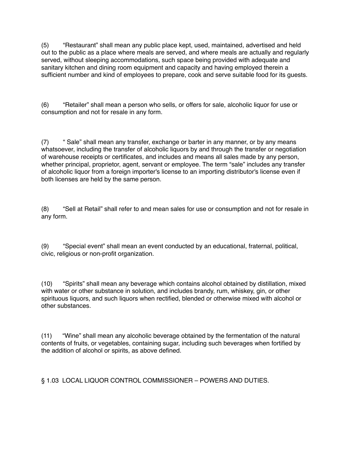(5) "Restaurant" shall mean any public place kept, used, maintained, advertised and held out to the public as a place where meals are served, and where meals are actually and regularly served, without sleeping accommodations, such space being provided with adequate and sanitary kitchen and dining room equipment and capacity and having employed therein a sufficient number and kind of employees to prepare, cook and serve suitable food for its guests.

(6) "Retailer" shall mean a person who sells, or offers for sale, alcoholic liquor for use or consumption and not for resale in any form.

(7) " Sale" shall mean any transfer, exchange or barter in any manner, or by any means whatsoever, including the transfer of alcoholic liquors by and through the transfer or negotiation of warehouse receipts or certificates, and includes and means all sales made by any person, whether principal, proprietor, agent, servant or employee. The term "sale" includes any transfer of alcoholic liquor from a foreign importer's license to an importing distributor's license even if both licenses are held by the same person.

(8) "Sell at Retail" shall refer to and mean sales for use or consumption and not for resale in any form.

(9) "Special event" shall mean an event conducted by an educational, fraternal, political, civic, religious or non-profit organization.

(10) "Spirits" shall mean any beverage which contains alcohol obtained by distillation, mixed with water or other substance in solution, and includes brandy, rum, whiskey, gin, or other spirituous liquors, and such liquors when rectified, blended or otherwise mixed with alcohol or other substances.

(11) "Wine" shall mean any alcoholic beverage obtained by the fermentation of the natural contents of fruits, or vegetables, containing sugar, including such beverages when fortified by the addition of alcohol or spirits, as above defined.

§ 1.03 LOCAL LIQUOR CONTROL COMMISSIONER – POWERS AND DUTIES.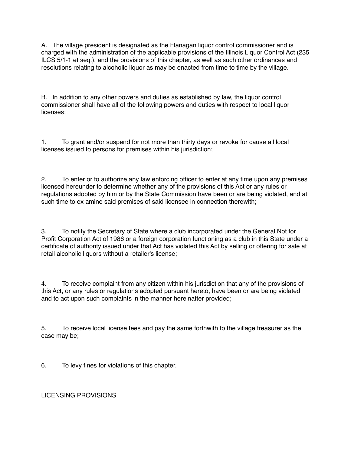A. The village president is designated as the Flanagan liquor control commissioner and is charged with the administration of the applicable provisions of the Illinois Liquor Control Act (235 ILCS 5/1-1 et seq.), and the provisions of this chapter, as well as such other ordinances and resolutions relating to alcoholic liquor as may be enacted from time to time by the village.

B. In addition to any other powers and duties as established by law, the liquor control commissioner shall have all of the following powers and duties with respect to local liquor licenses:

1. To grant and/or suspend for not more than thirty days or revoke for cause all local licenses issued to persons for premises within his jurisdiction;

2. To enter or to authorize any law enforcing officer to enter at any time upon any premises licensed hereunder to determine whether any of the provisions of this Act or any rules or regulations adopted by him or by the State Commission have been or are being violated, and at such time to ex amine said premises of said licensee in connection therewith;

3. To notify the Secretary of State where a club incorporated under the General Not for Profit Corporation Act of 1986 or a foreign corporation functioning as a club in this State under a certificate of authority issued under that Act has violated this Act by selling or offering for sale at retail alcoholic liquors without a retailer's license;

4. To receive complaint from any citizen within his jurisdiction that any of the provisions of this Act, or any rules or regulations adopted pursuant hereto, have been or are being violated and to act upon such complaints in the manner hereinafter provided;

5. To receive local license fees and pay the same forthwith to the village treasurer as the case may be;

6. To levy fines for violations of this chapter.

LICENSING PROVISIONS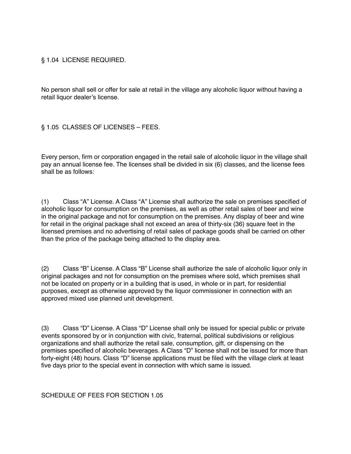## § 1.04 LICENSE REQUIRED.

No person shall sell or offer for sale at retail in the village any alcoholic liquor without having a retail liquor dealer's license.

§ 1.05 CLASSES OF LICENSES – FEES.

Every person, firm or corporation engaged in the retail sale of alcoholic liquor in the village shall pay an annual license fee. The licenses shall be divided in six (6) classes, and the license fees shall be as follows:

(1) Class "A" License. A Class "A" License shall authorize the sale on premises specified of alcoholic liquor for consumption on the premises, as well as other retail sales of beer and wine in the original package and not for consumption on the premises. Any display of beer and wine for retail in the original package shall not exceed an area of thirty-six (36) square feet in the licensed premises and no advertising of retail sales of package goods shall be carried on other than the price of the package being attached to the display area.

(2) Class "B" License. A Class "B" License shall authorize the sale of alcoholic liquor only in original packages and not for consumption on the premises where sold, which premises shall not be located on property or in a building that is used, in whole or in part, for residential purposes, except as otherwise approved by the liquor commissioner in connection with an approved mixed use planned unit development.

(3) Class "D" License. A Class "D" License shall only be issued for special public or private events sponsored by or in conjunction with civic, fraternal, political subdivisions or religious organizations and shall authorize the retail sale, consumption, gift, or dispensing on the premises specified of alcoholic beverages. A Class "D" license shall not be issued for more than forty-eight (48) hours. Class "D" license applications must be filed with the village clerk at least five days prior to the special event in connection with which same is issued.

SCHEDULE OF FEES FOR SECTION 1.05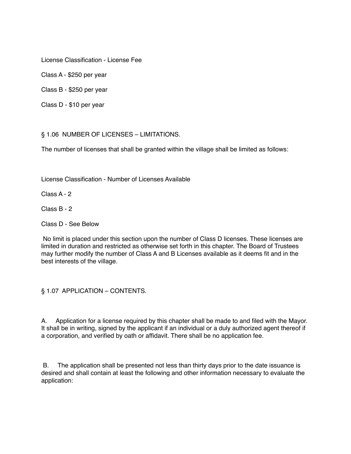License Classification - License Fee

Class A - \$250 per year

Class B - \$250 per year

Class D - \$10 per year

§ 1.06 NUMBER OF LICENSES – LIMITATIONS.

The number of licenses that shall be granted within the village shall be limited as follows:

License Classification - Number of Licenses Available

Class A - 2

Class B - 2

Class D - See Below

 No limit is placed under this section upon the number of Class D licenses. These licenses are limited in duration and restricted as otherwise set forth in this chapter. The Board of Trustees may further modify the number of Class A and B Licenses available as it deems fit and in the best interests of the village.

§ 1.07 APPLICATION – CONTENTS.

A. Application for a license required by this chapter shall be made to and filed with the Mayor. It shall be in writing, signed by the applicant if an individual or a duly authorized agent thereof if a corporation, and verified by oath or affidavit. There shall be no application fee.

 B. The application shall be presented not less than thirty days prior to the date issuance is desired and shall contain at least the following and other information necessary to evaluate the application: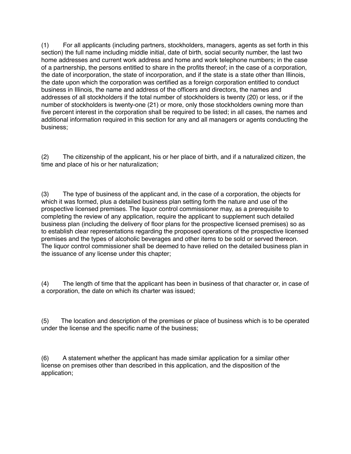(1) For all applicants (including partners, stockholders, managers, agents as set forth in this section) the full name including middle initial, date of birth, social security number, the last two home addresses and current work address and home and work telephone numbers; in the case of a partnership, the persons entitled to share in the profits thereof; in the case of a corporation, the date of incorporation, the state of incorporation, and if the state is a state other than Illinois, the date upon which the corporation was certified as a foreign corporation entitled to conduct business in Illinois, the name and address of the officers and directors, the names and addresses of all stockholders if the total number of stockholders is twenty (20) or less, or if the number of stockholders is twenty-one (21) or more, only those stockholders owning more than five percent interest in the corporation shall be required to be listed; in all cases, the names and additional information required in this section for any and all managers or agents conducting the business;

(2) The citizenship of the applicant, his or her place of birth, and if a naturalized citizen, the time and place of his or her naturalization;

(3) The type of business of the applicant and, in the case of a corporation, the objects for which it was formed, plus a detailed business plan setting forth the nature and use of the prospective licensed premises. The liquor control commissioner may, as a prerequisite to completing the review of any application, require the applicant to supplement such detailed business plan (including the delivery of floor plans for the prospective licensed premises) so as to establish clear representations regarding the proposed operations of the prospective licensed premises and the types of alcoholic beverages and other items to be sold or served thereon. The liquor control commissioner shall be deemed to have relied on the detailed business plan in the issuance of any license under this chapter;

(4) The length of time that the applicant has been in business of that character or, in case of a corporation, the date on which its charter was issued;

(5) The location and description of the premises or place of business which is to be operated under the license and the specific name of the business;

(6) A statement whether the applicant has made similar application for a similar other license on premises other than described in this application, and the disposition of the application;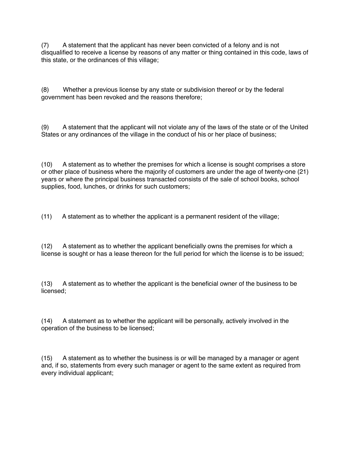(7) A statement that the applicant has never been convicted of a felony and is not disqualified to receive a license by reasons of any matter or thing contained in this code, laws of this state, or the ordinances of this village;

(8) Whether a previous license by any state or subdivision thereof or by the federal government has been revoked and the reasons therefore;

(9) A statement that the applicant will not violate any of the laws of the state or of the United States or any ordinances of the village in the conduct of his or her place of business;

(10) A statement as to whether the premises for which a license is sought comprises a store or other place of business where the majority of customers are under the age of twenty-one (21) years or where the principal business transacted consists of the sale of school books, school supplies, food, lunches, or drinks for such customers;

(11) A statement as to whether the applicant is a permanent resident of the village;

(12) A statement as to whether the applicant beneficially owns the premises for which a license is sought or has a lease thereon for the full period for which the license is to be issued;

(13) A statement as to whether the applicant is the beneficial owner of the business to be licensed;

(14) A statement as to whether the applicant will be personally, actively involved in the operation of the business to be licensed;

(15) A statement as to whether the business is or will be managed by a manager or agent and, if so, statements from every such manager or agent to the same extent as required from every individual applicant;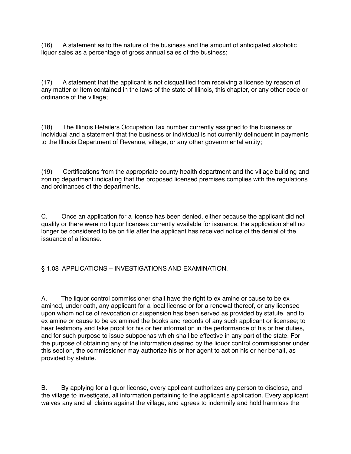(16) A statement as to the nature of the business and the amount of anticipated alcoholic liquor sales as a percentage of gross annual sales of the business;

(17) A statement that the applicant is not disqualified from receiving a license by reason of any matter or item contained in the laws of the state of Illinois, this chapter, or any other code or ordinance of the village;

(18) The Illinois Retailers Occupation Tax number currently assigned to the business or individual and a statement that the business or individual is not currently delinquent in payments to the Illinois Department of Revenue, village, or any other governmental entity;

(19) Certifications from the appropriate county health department and the village building and zoning department indicating that the proposed licensed premises complies with the regulations and ordinances of the departments.

C. Once an application for a license has been denied, either because the applicant did not qualify or there were no liquor licenses currently available for issuance, the application shall no longer be considered to be on file after the applicant has received notice of the denial of the issuance of a license.

§ 1.08 APPLICATIONS – INVESTIGATIONS AND EXAMINATION.

A. The liquor control commissioner shall have the right to ex amine or cause to be ex amined, under oath, any applicant for a local license or for a renewal thereof, or any licensee upon whom notice of revocation or suspension has been served as provided by statute, and to ex amine or cause to be ex amined the books and records of any such applicant or licensee; to hear testimony and take proof for his or her information in the performance of his or her duties, and for such purpose to issue subpoenas which shall be effective in any part of the state. For the purpose of obtaining any of the information desired by the liquor control commissioner under this section, the commissioner may authorize his or her agent to act on his or her behalf, as provided by statute.

B. By applying for a liquor license, every applicant authorizes any person to disclose, and the village to investigate, all information pertaining to the applicant's application. Every applicant waives any and all claims against the village, and agrees to indemnify and hold harmless the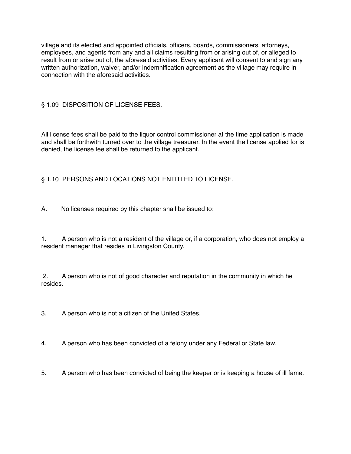village and its elected and appointed officials, officers, boards, commissioners, attorneys, employees, and agents from any and all claims resulting from or arising out of, or alleged to result from or arise out of, the aforesaid activities. Every applicant will consent to and sign any written authorization, waiver, and/or indemnification agreement as the village may require in connection with the aforesaid activities.

# § 1.09 DISPOSITION OF LICENSE FEES.

All license fees shall be paid to the liquor control commissioner at the time application is made and shall be forthwith turned over to the village treasurer. In the event the license applied for is denied, the license fee shall be returned to the applicant.

# § 1.10 PERSONS AND LOCATIONS NOT ENTITLED TO LICENSE.

A. No licenses required by this chapter shall be issued to:

1. A person who is not a resident of the village or, if a corporation, who does not employ a resident manager that resides in Livingston County.

 2. A person who is not of good character and reputation in the community in which he resides.

3. A person who is not a citizen of the United States.

- 4. A person who has been convicted of a felony under any Federal or State law.
- 5. A person who has been convicted of being the keeper or is keeping a house of ill fame.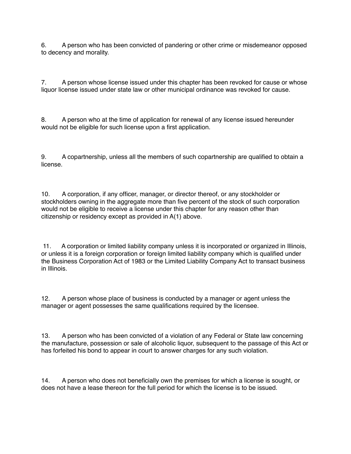6. A person who has been convicted of pandering or other crime or misdemeanor opposed to decency and morality.

7. A person whose license issued under this chapter has been revoked for cause or whose liquor license issued under state law or other municipal ordinance was revoked for cause.

8. A person who at the time of application for renewal of any license issued hereunder would not be eligible for such license upon a first application.

9. A copartnership, unless all the members of such copartnership are qualified to obtain a license.

10. A corporation, if any officer, manager, or director thereof, or any stockholder or stockholders owning in the aggregate more than five percent of the stock of such corporation would not be eligible to receive a license under this chapter for any reason other than citizenship or residency except as provided in A(1) above.

 11. A corporation or limited liability company unless it is incorporated or organized in Illinois, or unless it is a foreign corporation or foreign limited liability company which is qualified under the Business Corporation Act of 1983 or the Limited Liability Company Act to transact business in Illinois.

12. A person whose place of business is conducted by a manager or agent unless the manager or agent possesses the same qualifications required by the licensee.

13. A person who has been convicted of a violation of any Federal or State law concerning the manufacture, possession or sale of alcoholic liquor, subsequent to the passage of this Act or has forfeited his bond to appear in court to answer charges for any such violation.

14. A person who does not beneficially own the premises for which a license is sought, or does not have a lease thereon for the full period for which the license is to be issued.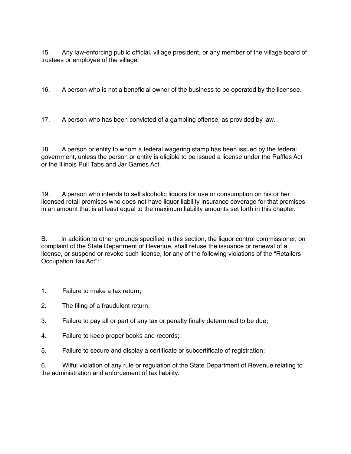15. Any law-enforcing public official, village president, or any member of the village board of trustees or employee of the village.

16. A person who is not a beneficial owner of the business to be operated by the licensee.

17. A person who has been convicted of a gambling offense, as provided by law.

18. A person or entity to whom a federal wagering stamp has been issued by the federal government, unless the person or entity is eligible to be issued a license under the Raffles Act or the Illinois Pull Tabs and Jar Games Act.

19. A person who intends to sell alcoholic liquors for use or consumption on his or her licensed retail premises who does not have liquor liability insurance coverage for that premises in an amount that is at least equal to the maximum liability amounts set forth in this chapter.

B. In addition to other grounds specified in this section, the liquor control commissioner, on complaint of the State Department of Revenue, shall refuse the issuance or renewal of a license, or suspend or revoke such license, for any of the following violations of the "Retailers Occupation Tax Act":

1. Failure to make a tax return;

- 2. The filing of a fraudulent return;
- 3. Failure to pay all or part of any tax or penalty finally determined to be due;
- 4. Failure to keep proper books and records;
- 5. Failure to secure and display a certificate or subcertificate of registration;

6. Wilful violation of any rule or regulation of the State Department of Revenue relating to the administration and enforcement of tax liability.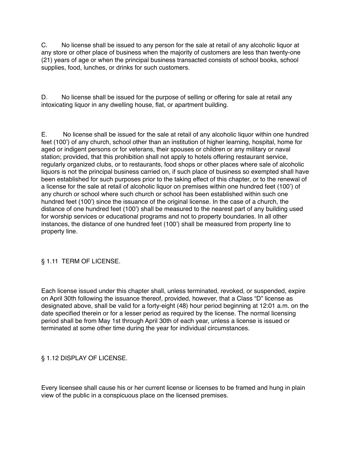C. No license shall be issued to any person for the sale at retail of any alcoholic liquor at any store or other place of business when the majority of customers are less than twenty-one (21) years of age or when the principal business transacted consists of school books, school supplies, food, lunches, or drinks for such customers.

D. No license shall be issued for the purpose of selling or offering for sale at retail any intoxicating liquor in any dwelling house, flat, or apartment building.

E. No license shall be issued for the sale at retail of any alcoholic liquor within one hundred feet (100') of any church, school other than an institution of higher learning, hospital, home for aged or indigent persons or for veterans, their spouses or children or any military or naval station; provided, that this prohibition shall not apply to hotels offering restaurant service, regularly organized clubs, or to restaurants, food shops or other places where sale of alcoholic liquors is not the principal business carried on, if such place of business so exempted shall have been established for such purposes prior to the taking effect of this chapter, or to the renewal of a license for the sale at retail of alcoholic liquor on premises within one hundred feet (100') of any church or school where such church or school has been established within such one hundred feet (100') since the issuance of the original license. In the case of a church, the distance of one hundred feet (100') shall be measured to the nearest part of any building used for worship services or educational programs and not to property boundaries. In all other instances, the distance of one hundred feet (100') shall be measured from property line to property line.

# § 1.11 TERM OF LICENSE.

Each license issued under this chapter shall, unless terminated, revoked, or suspended, expire on April 30th following the issuance thereof, provided, however, that a Class "D" license as designated above, shall be valid for a forty-eight (48) hour period beginning at 12:01 a.m. on the date specified therein or for a lesser period as required by the license. The normal licensing period shall be from May 1st through April 30th of each year, unless a license is issued or terminated at some other time during the year for individual circumstances.

## § 1.12 DISPLAY OF LICENSE.

Every licensee shall cause his or her current license or licenses to be framed and hung in plain view of the public in a conspicuous place on the licensed premises.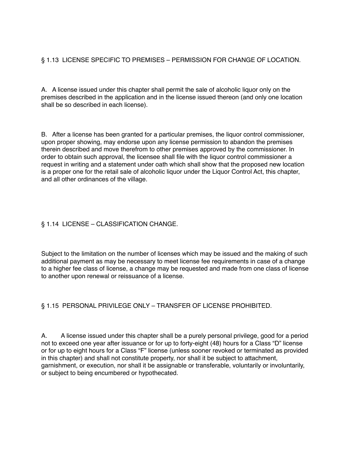# § 1.13 LICENSE SPECIFIC TO PREMISES – PERMISSION FOR CHANGE OF LOCATION.

A. A license issued under this chapter shall permit the sale of alcoholic liquor only on the premises described in the application and in the license issued thereon (and only one location shall be so described in each license).

B. After a license has been granted for a particular premises, the liquor control commissioner, upon proper showing, may endorse upon any license permission to abandon the premises therein described and move therefrom to other premises approved by the commissioner. In order to obtain such approval, the licensee shall file with the liquor control commissioner a request in writing and a statement under oath which shall show that the proposed new location is a proper one for the retail sale of alcoholic liquor under the Liquor Control Act, this chapter, and all other ordinances of the village.

# § 1.14 LICENSE – CLASSIFICATION CHANGE.

Subject to the limitation on the number of licenses which may be issued and the making of such additional payment as may be necessary to meet license fee requirements in case of a change to a higher fee class of license, a change may be requested and made from one class of license to another upon renewal or reissuance of a license.

# § 1.15 PERSONAL PRIVILEGE ONLY – TRANSFER OF LICENSE PROHIBITED.

A. A license issued under this chapter shall be a purely personal privilege, good for a period not to exceed one year after issuance or for up to forty-eight (48) hours for a Class "D" license or for up to eight hours for a Class "F" license (unless sooner revoked or terminated as provided in this chapter) and shall not constitute property, nor shall it be subject to attachment, garnishment, or execution, nor shall it be assignable or transferable, voluntarily or involuntarily, or subject to being encumbered or hypothecated.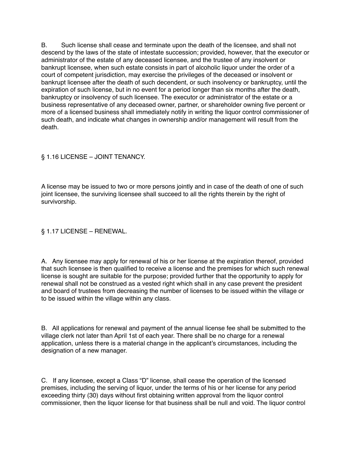B. Such license shall cease and terminate upon the death of the licensee, and shall not descend by the laws of the state of intestate succession; provided, however, that the executor or administrator of the estate of any deceased licensee, and the trustee of any insolvent or bankrupt licensee, when such estate consists in part of alcoholic liquor under the order of a court of competent jurisdiction, may exercise the privileges of the deceased or insolvent or bankrupt licensee after the death of such decendent, or such insolvency or bankruptcy, until the expiration of such license, but in no event for a period longer than six months after the death, bankruptcy or insolvency of such licensee. The executor or administrator of the estate or a business representative of any deceased owner, partner, or shareholder owning five percent or more of a licensed business shall immediately notify in writing the liquor control commissioner of such death, and indicate what changes in ownership and/or management will result from the death.

## § 1.16 LICENSE – JOINT TENANCY.

A license may be issued to two or more persons jointly and in case of the death of one of such joint licensee, the surviving licensee shall succeed to all the rights therein by the right of survivorship.

## § 1.17 LICENSE – RENEWAL.

A. Any licensee may apply for renewal of his or her license at the expiration thereof, provided that such licensee is then qualified to receive a license and the premises for which such renewal license is sought are suitable for the purpose; provided further that the opportunity to apply for renewal shall not be construed as a vested right which shall in any case prevent the president and board of trustees from decreasing the number of licenses to be issued within the village or to be issued within the village within any class.

B. All applications for renewal and payment of the annual license fee shall be submitted to the village clerk not later than April 1st of each year. There shall be no charge for a renewal application, unless there is a material change in the applicant's circumstances, including the designation of a new manager.

C. If any licensee, except a Class "D" license, shall cease the operation of the licensed premises, including the serving of liquor, under the terms of his or her license for any period exceeding thirty (30) days without first obtaining written approval from the liquor control commissioner, then the liquor license for that business shall be null and void. The liquor control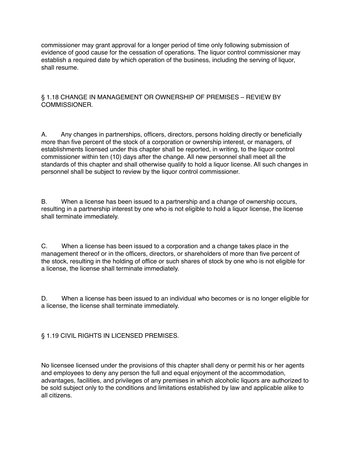commissioner may grant approval for a longer period of time only following submission of evidence of good cause for the cessation of operations. The liquor control commissioner may establish a required date by which operation of the business, including the serving of liquor, shall resume.

## § 1.18 CHANGE IN MANAGEMENT OR OWNERSHIP OF PREMISES – REVIEW BY COMMISSIONER.

A. Any changes in partnerships, officers, directors, persons holding directly or beneficially more than five percent of the stock of a corporation or ownership interest, or managers, of establishments licensed under this chapter shall be reported, in writing, to the liquor control commissioner within ten (10) days after the change. All new personnel shall meet all the standards of this chapter and shall otherwise qualify to hold a liquor license. All such changes in personnel shall be subject to review by the liquor control commissioner.

B. When a license has been issued to a partnership and a change of ownership occurs, resulting in a partnership interest by one who is not eligible to hold a liquor license, the license shall terminate immediately.

C. When a license has been issued to a corporation and a change takes place in the management thereof or in the officers, directors, or shareholders of more than five percent of the stock, resulting in the holding of office or such shares of stock by one who is not eligible for a license, the license shall terminate immediately.

D. When a license has been issued to an individual who becomes or is no longer eligible for a license, the license shall terminate immediately.

§ 1.19 CIVIL RIGHTS IN LICENSED PREMISES.

No licensee licensed under the provisions of this chapter shall deny or permit his or her agents and employees to deny any person the full and equal enjoyment of the accommodation, advantages, facilities, and privileges of any premises in which alcoholic liquors are authorized to be sold subject only to the conditions and limitations established by law and applicable alike to all citizens.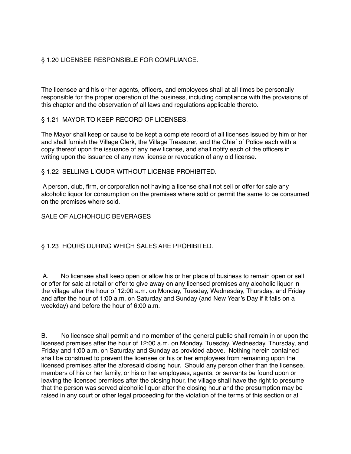# § 1.20 LICENSEE RESPONSIBLE FOR COMPLIANCE.

The licensee and his or her agents, officers, and employees shall at all times be personally responsible for the proper operation of the business, including compliance with the provisions of this chapter and the observation of all laws and regulations applicable thereto.

## § 1.21 MAYOR TO KEEP RECORD OF LICENSES.

The Mayor shall keep or cause to be kept a complete record of all licenses issued by him or her and shall furnish the Village Clerk, the Village Treasurer, and the Chief of Police each with a copy thereof upon the issuance of any new license, and shall notify each of the officers in writing upon the issuance of any new license or revocation of any old license.

## § 1.22 SELLING LIQUOR WITHOUT LICENSE PROHIBITED.

 A person, club, firm, or corporation not having a license shall not sell or offer for sale any alcoholic liquor for consumption on the premises where sold or permit the same to be consumed on the premises where sold.

## SALE OF ALCHOHOLIC BEVERAGES

## § 1.23 HOURS DURING WHICH SALES ARE PROHIBITED.

 A. No licensee shall keep open or allow his or her place of business to remain open or sell or offer for sale at retail or offer to give away on any licensed premises any alcoholic liquor in the village after the hour of 12:00 a.m. on Monday, Tuesday, Wednesday, Thursday, and Friday and after the hour of 1:00 a.m. on Saturday and Sunday (and New Year's Day if it falls on a weekday) and before the hour of 6:00 a.m.

B. No licensee shall permit and no member of the general public shall remain in or upon the licensed premises after the hour of 12:00 a.m. on Monday, Tuesday, Wednesday, Thursday, and Friday and 1:00 a.m. on Saturday and Sunday as provided above. Nothing herein contained shall be construed to prevent the licensee or his or her employees from remaining upon the licensed premises after the aforesaid closing hour. Should any person other than the licensee, members of his or her family, or his or her employees, agents, or servants be found upon or leaving the licensed premises after the closing hour, the village shall have the right to presume that the person was served alcoholic liquor after the closing hour and the presumption may be raised in any court or other legal proceeding for the violation of the terms of this section or at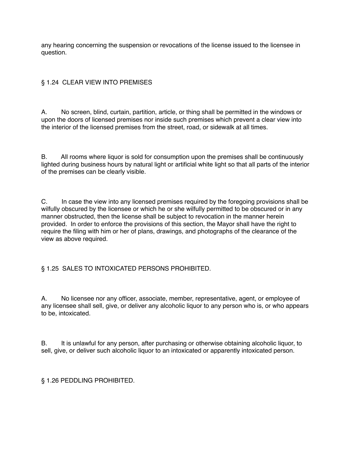any hearing concerning the suspension or revocations of the license issued to the licensee in question.

# § 1.24 CLEAR VIEW INTO PREMISES

A. No screen, blind, curtain, partition, article, or thing shall be permitted in the windows or upon the doors of licensed premises nor inside such premises which prevent a clear view into the interior of the licensed premises from the street, road, or sidewalk at all times.

B. All rooms where liquor is sold for consumption upon the premises shall be continuously lighted during business hours by natural light or artificial white light so that all parts of the interior of the premises can be clearly visible.

C. In case the view into any licensed premises required by the foregoing provisions shall be wilfully obscured by the licensee or which he or she wilfully permitted to be obscured or in any manner obstructed, then the license shall be subject to revocation in the manner herein provided. In order to enforce the provisions of this section, the Mayor shall have the right to require the filing with him or her of plans, drawings, and photographs of the clearance of the view as above required.

# § 1.25 SALES TO INTOXICATED PERSONS PROHIBITED.

A. No licensee nor any officer, associate, member, representative, agent, or employee of any licensee shall sell, give, or deliver any alcoholic liquor to any person who is, or who appears to be, intoxicated.

B. It is unlawful for any person, after purchasing or otherwise obtaining alcoholic liquor, to sell, give, or deliver such alcoholic liquor to an intoxicated or apparently intoxicated person.

§ 1.26 PEDDLING PROHIBITED.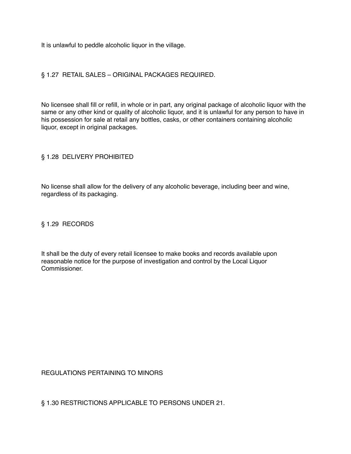It is unlawful to peddle alcoholic liquor in the village.

### § 1.27 RETAIL SALES – ORIGINAL PACKAGES REQUIRED.

No licensee shall fill or refill, in whole or in part, any original package of alcoholic liquor with the same or any other kind or quality of alcoholic liquor, and it is unlawful for any person to have in his possession for sale at retail any bottles, casks, or other containers containing alcoholic liquor, except in original packages.

#### § 1.28 DELIVERY PROHIBITED

No license shall allow for the delivery of any alcoholic beverage, including beer and wine, regardless of its packaging.

§ 1.29 RECORDS

It shall be the duty of every retail licensee to make books and records available upon reasonable notice for the purpose of investigation and control by the Local Liquor Commissioner.

REGULATIONS PERTAINING TO MINORS

§ 1.30 RESTRICTIONS APPLICABLE TO PERSONS UNDER 21.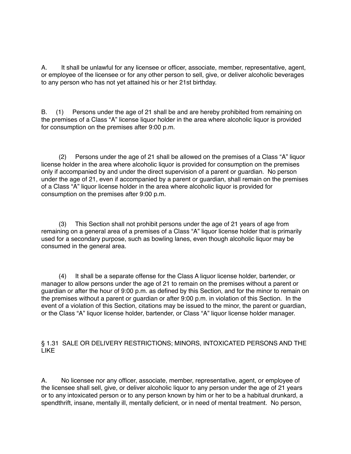A. It shall be unlawful for any licensee or officer, associate, member, representative, agent, or employee of the licensee or for any other person to sell, give, or deliver alcoholic beverages to any person who has not yet attained his or her 21st birthday.

B. (1) Persons under the age of 21 shall be and are hereby prohibited from remaining on the premises of a Class "A" license liquor holder in the area where alcoholic liquor is provided for consumption on the premises after 9:00 p.m.

 (2) Persons under the age of 21 shall be allowed on the premises of a Class "A" liquor license holder in the area where alcoholic liquor is provided for consumption on the premises only if accompanied by and under the direct supervision of a parent or guardian. No person under the age of 21, even if accompanied by a parent or guardian, shall remain on the premises of a Class "A" liquor license holder in the area where alcoholic liquor is provided for consumption on the premises after 9:00 p.m.

 (3) This Section shall not prohibit persons under the age of 21 years of age from remaining on a general area of a premises of a Class "A" liquor license holder that is primarily used for a secondary purpose, such as bowling lanes, even though alcoholic liquor may be consumed in the general area.

 (4) It shall be a separate offense for the Class A liquor license holder, bartender, or manager to allow persons under the age of 21 to remain on the premises without a parent or guardian or after the hour of 9:00 p.m. as defined by this Section, and for the minor to remain on the premises without a parent or guardian or after 9:00 p.m. in violation of this Section. In the event of a violation of this Section, citations may be issued to the minor, the parent or guardian, or the Class "A" liquor license holder, bartender, or Class "A" liquor license holder manager.

## § 1.31 SALE OR DELIVERY RESTRICTIONS; MINORS, INTOXICATED PERSONS AND THE LIKE

A. No licensee nor any officer, associate, member, representative, agent, or employee of the licensee shall sell, give, or deliver alcoholic liquor to any person under the age of 21 years or to any intoxicated person or to any person known by him or her to be a habitual drunkard, a spendthrift, insane, mentally ill, mentally deficient, or in need of mental treatment. No person,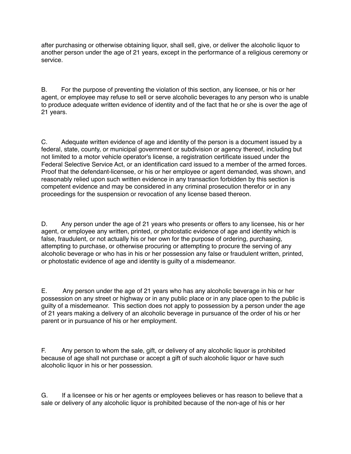after purchasing or otherwise obtaining liquor, shall sell, give, or deliver the alcoholic liquor to another person under the age of 21 years, except in the performance of a religious ceremony or service.

B. For the purpose of preventing the violation of this section, any licensee, or his or her agent, or employee may refuse to sell or serve alcoholic beverages to any person who is unable to produce adequate written evidence of identity and of the fact that he or she is over the age of 21 years.

C. Adequate written evidence of age and identity of the person is a document issued by a federal, state, county, or municipal government or subdivision or agency thereof, including but not limited to a motor vehicle operator's license, a registration certificate issued under the Federal Selective Service Act, or an identification card issued to a member of the armed forces. Proof that the defendant-licensee, or his or her employee or agent demanded, was shown, and reasonably relied upon such written evidence in any transaction forbidden by this section is competent evidence and may be considered in any criminal prosecution therefor or in any proceedings for the suspension or revocation of any license based thereon.

D. Any person under the age of 21 years who presents or offers to any licensee, his or her agent, or employee any written, printed, or photostatic evidence of age and identity which is false, fraudulent, or not actually his or her own for the purpose of ordering, purchasing, attempting to purchase, or otherwise procuring or attempting to procure the serving of any alcoholic beverage or who has in his or her possession any false or fraudulent written, printed, or photostatic evidence of age and identity is guilty of a misdemeanor.

E. Any person under the age of 21 years who has any alcoholic beverage in his or her possession on any street or highway or in any public place or in any place open to the public is guilty of a misdemeanor. This section does not apply to possession by a person under the age of 21 years making a delivery of an alcoholic beverage in pursuance of the order of his or her parent or in pursuance of his or her employment.

F. Any person to whom the sale, gift, or delivery of any alcoholic liquor is prohibited because of age shall not purchase or accept a gift of such alcoholic liquor or have such alcoholic liquor in his or her possession.

G. If a licensee or his or her agents or employees believes or has reason to believe that a sale or delivery of any alcoholic liquor is prohibited because of the non-age of his or her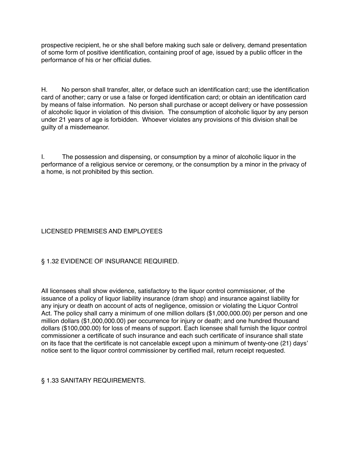prospective recipient, he or she shall before making such sale or delivery, demand presentation of some form of positive identification, containing proof of age, issued by a public officer in the performance of his or her official duties.

H. No person shall transfer, alter, or deface such an identification card; use the identification card of another; carry or use a false or forged identification card; or obtain an identification card by means of false information. No person shall purchase or accept delivery or have possession of alcoholic liquor in violation of this division. The consumption of alcoholic liquor by any person under 21 years of age is forbidden. Whoever violates any provisions of this division shall be guilty of a misdemeanor.

I. The possession and dispensing, or consumption by a minor of alcoholic liquor in the performance of a religious service or ceremony, or the consumption by a minor in the privacy of a home, is not prohibited by this section.

# LICENSED PREMISES AND EMPLOYEES

# § 1.32 EVIDENCE OF INSURANCE REQUIRED.

All licensees shall show evidence, satisfactory to the liquor control commissioner, of the issuance of a policy of liquor liability insurance (dram shop) and insurance against liability for any injury or death on account of acts of negligence, omission or violating the Liquor Control Act. The policy shall carry a minimum of one million dollars (\$1,000,000.00) per person and one million dollars (\$1,000,000.00) per occurrence for injury or death; and one hundred thousand dollars (\$100,000.00) for loss of means of support. Each licensee shall furnish the liquor control commissioner a certificate of such insurance and each such certificate of insurance shall state on its face that the certificate is not cancelable except upon a minimum of twenty-one (21) days' notice sent to the liquor control commissioner by certified mail, return receipt requested.

## § 1.33 SANITARY REQUIREMENTS.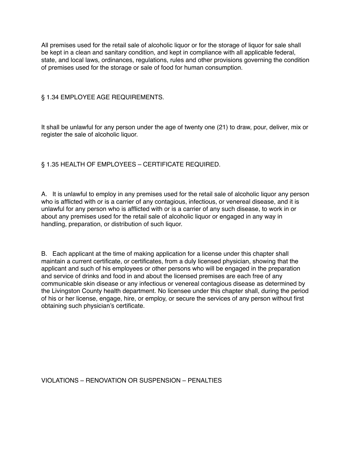All premises used for the retail sale of alcoholic liquor or for the storage of liquor for sale shall be kept in a clean and sanitary condition, and kept in compliance with all applicable federal, state, and local laws, ordinances, regulations, rules and other provisions governing the condition of premises used for the storage or sale of food for human consumption.

## § 1.34 EMPLOYEE AGE REQUIREMENTS.

It shall be unlawful for any person under the age of twenty one (21) to draw, pour, deliver, mix or register the sale of alcoholic liquor.

## § 1.35 HEALTH OF EMPLOYEES – CERTIFICATE REQUIRED.

A. It is unlawful to employ in any premises used for the retail sale of alcoholic liquor any person who is afflicted with or is a carrier of any contagious, infectious, or venereal disease, and it is unlawful for any person who is afflicted with or is a carrier of any such disease, to work in or about any premises used for the retail sale of alcoholic liquor or engaged in any way in handling, preparation, or distribution of such liquor.

B. Each applicant at the time of making application for a license under this chapter shall maintain a current certificate, or certificates, from a duly licensed physician, showing that the applicant and such of his employees or other persons who will be engaged in the preparation and service of drinks and food in and about the licensed premises are each free of any communicable skin disease or any infectious or venereal contagious disease as determined by the Livingston County health department. No licensee under this chapter shall, during the period of his or her license, engage, hire, or employ, or secure the services of any person without first obtaining such physician's certificate.

VIOLATIONS – RENOVATION OR SUSPENSION – PENALTIES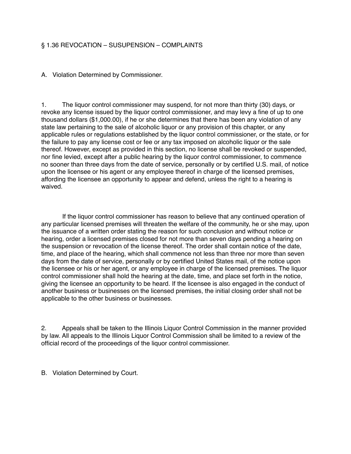## § 1.36 REVOCATION – SUSUPENSION – COMPLAINTS

A. Violation Determined by Commissioner.

1. The liquor control commissioner may suspend, for not more than thirty (30) days, or revoke any license issued by the liquor control commissioner, and may levy a fine of up to one thousand dollars (\$1,000.00), if he or she determines that there has been any violation of any state law pertaining to the sale of alcoholic liquor or any provision of this chapter, or any applicable rules or regulations established by the liquor control commissioner, or the state, or for the failure to pay any license cost or fee or any tax imposed on alcoholic liquor or the sale thereof. However, except as provided in this section, no license shall be revoked or suspended, nor fine levied, except after a public hearing by the liquor control commissioner, to commence no sooner than three days from the date of service, personally or by certified U.S. mail, of notice upon the licensee or his agent or any employee thereof in charge of the licensed premises, affording the licensee an opportunity to appear and defend, unless the right to a hearing is waived.

 If the liquor control commissioner has reason to believe that any continued operation of any particular licensed premises will threaten the welfare of the community, he or she may, upon the issuance of a written order stating the reason for such conclusion and without notice or hearing, order a licensed premises closed for not more than seven days pending a hearing on the suspension or revocation of the license thereof. The order shall contain notice of the date, time, and place of the hearing, which shall commence not less than three nor more than seven days from the date of service, personally or by certified United States mail, of the notice upon the licensee or his or her agent, or any employee in charge of the licensed premises. The liquor control commissioner shall hold the hearing at the date, time, and place set forth in the notice, giving the licensee an opportunity to be heard. If the licensee is also engaged in the conduct of another business or businesses on the licensed premises, the initial closing order shall not be applicable to the other business or businesses.

2. Appeals shall be taken to the Illinois Liquor Control Commission in the manner provided by law. All appeals to the Illinois Liquor Control Commission shall be limited to a review of the official record of the proceedings of the liquor control commissioner.

B. Violation Determined by Court.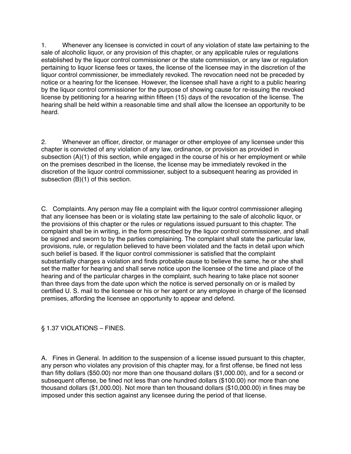1. Whenever any licensee is convicted in court of any violation of state law pertaining to the sale of alcoholic liquor, or any provision of this chapter, or any applicable rules or regulations established by the liquor control commissioner or the state commission, or any law or regulation pertaining to liquor license fees or taxes, the license of the licensee may in the discretion of the liquor control commissioner, be immediately revoked. The revocation need not be preceded by notice or a hearing for the licensee. However, the licensee shall have a right to a public hearing by the liquor control commissioner for the purpose of showing cause for re-issuing the revoked license by petitioning for a hearing within fifteen (15) days of the revocation of the license. The hearing shall be held within a reasonable time and shall allow the licensee an opportunity to be heard.

2. Whenever an officer, director, or manager or other employee of any licensee under this chapter is convicted of any violation of any law, ordinance, or provision as provided in subsection (A)(1) of this section, while engaged in the course of his or her employment or while on the premises described in the license, the license may be immediately revoked in the discretion of the liquor control commissioner, subject to a subsequent hearing as provided in subsection (B)(1) of this section.

C. Complaints. Any person may file a complaint with the liquor control commissioner alleging that any licensee has been or is violating state law pertaining to the sale of alcoholic liquor, or the provisions of this chapter or the rules or regulations issued pursuant to this chapter. The complaint shall be in writing, in the form prescribed by the liquor control commissioner, and shall be signed and sworn to by the parties complaining. The complaint shall state the particular law, provisions, rule, or regulation believed to have been violated and the facts in detail upon which such belief is based. If the liquor control commissioner is satisfied that the complaint substantially charges a violation and finds probable cause to believe the same, he or she shall set the matter for hearing and shall serve notice upon the licensee of the time and place of the hearing and of the particular charges in the complaint, such hearing to take place not sooner than three days from the date upon which the notice is served personally on or is mailed by certified U. S. mail to the licensee or his or her agent or any employee in charge of the licensed premises, affording the licensee an opportunity to appear and defend.

§ 1.37 VIOLATIONS – FINES.

A. Fines in General. In addition to the suspension of a license issued pursuant to this chapter, any person who violates any provision of this chapter may, for a first offense, be fined not less than fifty dollars (\$50.00) nor more than one thousand dollars (\$1,000.00), and for a second or subsequent offense, be fined not less than one hundred dollars (\$100.00) nor more than one thousand dollars (\$1,000.00). Not more than ten thousand dollars (\$10,000.00) in fines may be imposed under this section against any licensee during the period of that license.